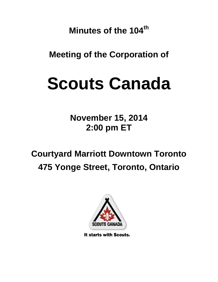**Minutes of the 104th**

**Meeting of the Corporation of**

# **Scouts Canada**

**November 15, 2014 2:00 pm ET**

**Courtyard Marriott Downtown Toronto 475 Yonge Street, Toronto, Ontario**



It starts with Scouts.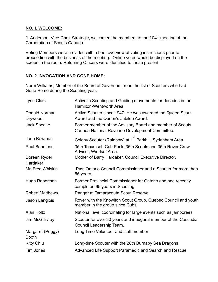## **NO. 1 WELCOME:**

J. Anderson, Vice-Chair Strategic, welcomed the members to the 104<sup>th</sup> meeting of the Corporation of Scouts Canada.

Voting Members were provided with a brief overview of voting instructions prior to proceeding with the business of the meeting. Online votes would be displayed on the screen in the room. Returning Officers were identified to those present.

# **NO. 2 INVOCATION AND GONE HOME:**

Norm Williams, Member of the Board of Governors, read the list of Scouters who had Gone Home during the Scouting year.

| Lynn Clark                       | Active in Scouting and Guiding movements for decades in the<br>Hamilton-Wentworth Area.                    |
|----------------------------------|------------------------------------------------------------------------------------------------------------|
| Donald Norman<br>Drywood         | Active Scouter since 1947. He was awarded the Queen Scout<br>Award and the Queen's Jubilee Award.          |
| <b>Jack Speake</b>               | Former member of the Advisory Board and member of Scouts<br>Canada National Revenue Development Committee. |
| Jana Bowman                      | Colony Scouter (Rainbow) at 1 <sup>st</sup> Parkhill, Sydenham Area.                                       |
| Paul Beneteau                    | 35th Tecumseh Cub Pack, 35th Scouts and 35th Rover Crew<br>Advisor, Windsor Area.                          |
| Doreen Ryder<br>Hardaker         | Mother of Barry Hardaker, Council Executive Director.                                                      |
| Mr. Fred Whiskin                 | Past Ontario Council Commissioner and a Scouter for more than<br>65 years.                                 |
| Hugh Robertson                   | Former Provincial Commissioner for Ontario and had recently<br>completed 65 years in Scouting.             |
| <b>Robert Matthews</b>           | Ranger at Tamaracouta Scout Reserve                                                                        |
| Jason Langlois                   | Rover with the Knowlton Scout Group, Quebec Council and youth<br>member in the group since Cubs.           |
| Alan Holtz                       | National level coordinating for large events such as jamborees                                             |
| Jim McGillivray                  | Scouter for over 30 years and inaugural member of the Cascadia<br>Council Leadership Team.                 |
| Margaret (Peggy)<br><b>Booth</b> | Long Time Volunteer and staff member                                                                       |
| <b>Kitty Chiu</b>                | Long-time Scouter with the 28th Burnaby Sea Dragons                                                        |
| <b>Tim Jones</b>                 | Advanced Life Support Paramedic and Search and Rescue                                                      |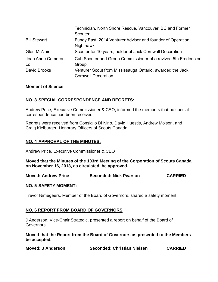|                           | Technician, North Shore Rescue, Vancouver, BC and Former<br>Scouter.              |
|---------------------------|-----------------------------------------------------------------------------------|
| <b>Bill Stewart</b>       | Fundy East 2014 Venturer Advisor and founder of Operation<br>Nighthawk            |
| <b>Glen McNair</b>        | Scouter for 10 years; holder of Jack Cornwall Decoration                          |
| Jean Anne Cameron-<br>Loi | Cub Scouter and Group Commissioner of a revived 5th Fredericton<br>Group          |
| David Brooks              | Venturer Scout from Mississauga Ontario, awarded the Jack<br>Cornwell Decoration. |

#### **Moment of Silence**

#### **NO. 3 SPECIAL CORRESPONDENCE AND REGRETS:**

Andrew Price, Executive Commissioner & CEO, informed the members that no special correspondence had been received.

Regrets were received from Consiglio Di Nino, David Huestis, Andrew Molson, and Craig Kielburger, Honorary Officers of Scouts Canada.

#### **NO. 4 APPROVAL OF THE MINUTES:**

Andrew Price, Executive Commissioner & CEO

**Moved that the Minutes of the 103rd Meeting of the Corporation of Scouts Canada on November 16, 2013, as circulated, be approved.**

**Moved: Andrew Price Seconded: Nick Pearson CARRIED**

#### **NO. 5 SAFETY MOMENT:**

Trevor Nimegeers, Member of the Board of Governors, shared a safety moment.

#### **NO. 6 REPORT FROM BOARD OF GOVERNORS**

J Anderson, Vice-Chair Strategic, presented a report on behalf of the Board of Governors.

**Moved that the Report from the Board of Governors as presented to the Members be accepted.**

| <b>Moved: J Anderson</b> | Seconded: Christian Nielsen | <b>CARRIED</b> |
|--------------------------|-----------------------------|----------------|
|--------------------------|-----------------------------|----------------|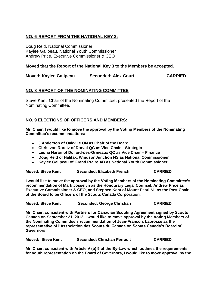## **NO. 6 REPORT FROM THE NATIONAL KEY 3:**

Doug Reid, National Commissioner Kaylee Galipeau, National Youth Commissioner Andrew Price, Executive Commissioner & CEO

#### **Moved that the Report of the National Key 3 to the Members be accepted.**

| Moved: Kaylee Galipeau | <b>Seconded: Alex Court</b> | <b>CARRIED</b> |
|------------------------|-----------------------------|----------------|
|------------------------|-----------------------------|----------------|

## **NO. 8 REPORT OF THE NOMINATING COMMITTEE**

Steve Kent, Chair of the Nominating Committee, presented the Report of the Nominating Committee.

## **NO. 9 ELECTIONS OF OFFICERS AND MEMBERS:**

**Mr. Chair, I would like to move the approval by the Voting Members of the Nominating Committee's recommendations:**

- **J Anderson of Oakville ON as Chair of the Board**
- **Chris von Roretz of Dorval QC as Vice-Chair – Strategic**
- **Leona Harari of Dollard-des-Ormeaux QC as Vice Chair – Finance**
- **Doug Reid of Halifax, Windsor Junction NS as National Commissioner**
- **Kaylee Galipeau of Grand Praire AB as National Youth Commissioner.**

**Moved: Steve Kent Seconded: Elizabeth French CARRIED**

**I would like to move the approval by the Voting Members of the Nominating Committee's recommendation of Mark Josselyn as the Honourary Legal Counsel, Andrew Price as Executive Commissioner & CEO, and Stephen Kent of Mount Pearl NL as the Past Chair of the Board to be Officers of the Scouts Canada Corporation.** 

| <b>Moved: Steve Kent</b> | <b>Seconded: George Christian</b> | <b>CARRIED</b> |
|--------------------------|-----------------------------------|----------------|
|--------------------------|-----------------------------------|----------------|

**Mr. Chair, consistent with Partners for Canadian Scouting Agreement signed by Scouts Canada on September 21, 2012, I would like to move approval by the Voting Members of the Nominating Committee's recommendation of Jean-Francois Labrosse as the representative of l'Association des Scouts du Canada on Scouts Canada's Board of Governors.**

**Mr. Chair, consistent with Article V (b) 9 of the By-Law which outlines the requirements for youth representation on the Board of Governors, I would like to move approval by the**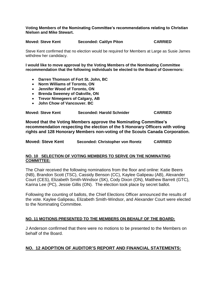#### **Voting Members of the Nominating Committee's recommendations relating to Christian Nielsen and Mike Stewart.**

#### **Moved: Steve Kent Seconded: Caitlyn Piton CARRIED**

Steve Kent confirmed that no election would be required for Members at Large as Susie James withdrew her candidacy.

**I would like to move approval by the Voting Members of the Nominating Committee recommendation that the following individuals be elected to the Board of Governors:**

- **Darren Thomson of Fort St. John, BC**
- **Norm Williams of Toronto, ON**
- **Jennifer Wood of Toronto, ON**
- **Brenda Sweeney of Oakville, ON**
- **Trevor Nimegeers of Calgary, AB**
- **John Chow of Vancouver. BC**

| <b>Moved: Steve Kent</b> | <b>Seconded: Harold Schnider</b> | <b>CARRIED</b> |
|--------------------------|----------------------------------|----------------|
|                          |                                  |                |

**Moved that the Voting Members approve the Nominating Committee's recommendation respecting the election of the 5 Honorary Officers with voting rights and 128 Honorary Members non-voting of the Scouts Canada Corporation.**

**Moved: Steve Kent Seconded: Christopher von Roretz CARRIED**

#### **NO. 10 SELECTION OF VOTING MEMBERS TO SERVE ON THE NOMINATING COMMITTEE:**

The Chair received the following nominations from the floor and online: Katie Beers (NB), Brandon Scott (TSC), Cassidy Benson (CC), Kaylee Galipeau (AB), Alexander Court (CES), Elizabeth Smith-Windsor (SK), Cody Dixon (ON), Matthew Barrett (GTC), Karina Lee (PC), Jessie Gillis (ON). The election took place by secret ballot.

Following the counting of ballots, the Chief Elections Officer announced the results of the vote. Kaylee Galipeau, Elizabeth Smith-Windsor, and Alexander Court were elected to the Nominating Committee.

#### **NO. 11 MOTIONS PRESENTED TO THE MEMBERS ON BEHALF OF THE BOARD:**

J Anderson confirmed that there were no motions to be presented to the Members on behalf of the Board.

#### **NO. 12 ADOPTION OF AUDITOR'S REPORT AND FINANCIAL STATEMENTS:**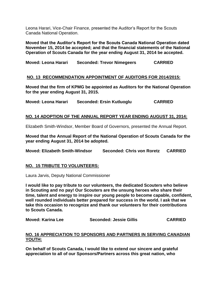Leona Harari, Vice-Chair Finance, presented the Auditor's Report for the Scouts Canada National Operation.

**Moved that the Auditor's Report for the Scouts Canada National Operation dated November 15, 2014 be accepted; and that the financial statements of the National Operation of Scouts Canada for the year ending August 31, 2014 be accepted.**

**Moved: Leona Harari Seconded: Trevor Nimegeers CARRIED**

## **NO. 13 RECOMMENDATION APPOINTMENT OF AUDITORS FOR 2014/2015:**

**Moved that the firm of KPMG be appointed as Auditors for the National Operation for the year ending August 31, 2015.**

**Moved: Leona Harari Seconded: Ersin Kutluoglu CARRIED**

## **NO. 14 ADOPTION OF THE ANNUAL REPORT YEAR ENDING AUGUST 31, 2014:**

Elizabeth Smith-Windsor, Member Board of Governors, presented the Annual Report.

**Moved that the Annual Report of the National Operation of Scouts Canada for the year ending August 31, 2014 be adopted.**

**Moved: Elizabeth Smith-Windsor Seconded: Chris von Roretz CARRIED**

## **NO. 15 TRIBUTE TO VOLUNTEERS:**

Laura Jarvis, Deputy National Commissioner

**I would like to pay tribute to our volunteers, the dedicated Scouters who believe in Scouting and no pay! Our Scouters are the unsung heroes who share their time, talent and energy to inspire our young people to become capable, confident, well rounded individuals better prepared for success in the world. I ask that we take this occasion to recognize and thank our volunteers for their contributions to Scouts Canada.** 

**Moved: Karina Lee Seconded: Jessie Gillis CARRIED**

#### **NO. 16 APPRECIATION TO SPONSORS AND PARTNERS IN SERVING CANADIAN YOUTH:**

**On behalf of Scouts Canada, I would like to extend our sincere and grateful appreciation to all of our Sponsors/Partners across this great nation, who**